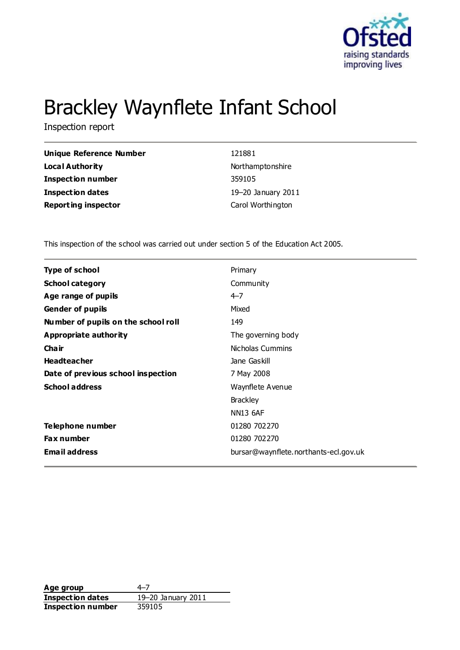

# Brackley Waynflete Infant School

Inspection report

| <b>Unique Reference Number</b> | 121881             |
|--------------------------------|--------------------|
| Local Authority                | Northamptonshire   |
| Inspection number              | 359105             |
| <b>Inspection dates</b>        | 19-20 January 2011 |
| <b>Reporting inspector</b>     | Carol Worthington  |

This inspection of the school was carried out under section 5 of the Education Act 2005.

| <b>Type of school</b>               | Primary                               |
|-------------------------------------|---------------------------------------|
| <b>School category</b>              | Community                             |
| Age range of pupils                 | $4 - 7$                               |
| <b>Gender of pupils</b>             | Mixed                                 |
| Number of pupils on the school roll | 149                                   |
| Appropriate authority               | The governing body                    |
| Cha ir                              | Nicholas Cummins                      |
| <b>Headteacher</b>                  | Jane Gaskill                          |
| Date of previous school inspection  | 7 May 2008                            |
| <b>School address</b>               | Waynflete Avenue                      |
|                                     | <b>Brackley</b>                       |
|                                     | <b>NN13 6AF</b>                       |
| Telephone number                    | 01280 702270                          |
| Fax number                          | 01280 702270                          |
| <b>Email address</b>                | bursar@waynflete.northants-ecl.gov.uk |
|                                     |                                       |

**Age group** 4–7<br> **Inspection dates** 19–20 January 2011 **Inspection dates Inspection number** 359105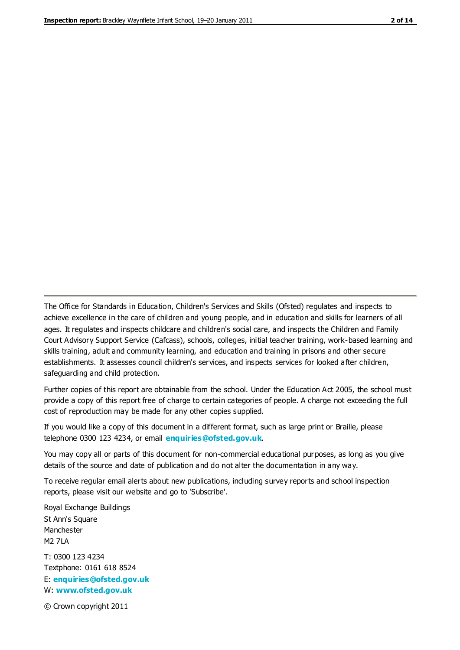The Office for Standards in Education, Children's Services and Skills (Ofsted) regulates and inspects to achieve excellence in the care of children and young people, and in education and skills for learners of all ages. It regulates and inspects childcare and children's social care, and inspects the Children and Family Court Advisory Support Service (Cafcass), schools, colleges, initial teacher training, work-based learning and skills training, adult and community learning, and education and training in prisons and other secure establishments. It assesses council children's services, and inspects services for looked after children, safeguarding and child protection.

Further copies of this report are obtainable from the school. Under the Education Act 2005, the school must provide a copy of this report free of charge to certain categories of people. A charge not exceeding the full cost of reproduction may be made for any other copies supplied.

If you would like a copy of this document in a different format, such as large print or Braille, please telephone 0300 123 4234, or email **[enquiries@ofsted.gov.uk](mailto:enquiries@ofsted.gov.uk)**.

You may copy all or parts of this document for non-commercial educational purposes, as long as you give details of the source and date of publication and do not alter the documentation in any way.

To receive regular email alerts about new publications, including survey reports and school inspection reports, please visit our website and go to 'Subscribe'.

Royal Exchange Buildings St Ann's Square Manchester M2 7LA T: 0300 123 4234 Textphone: 0161 618 8524 E: **[enquiries@ofsted.gov.uk](mailto:enquiries@ofsted.gov.uk)**

W: **[www.ofsted.gov.uk](http://www.ofsted.gov.uk/)**

© Crown copyright 2011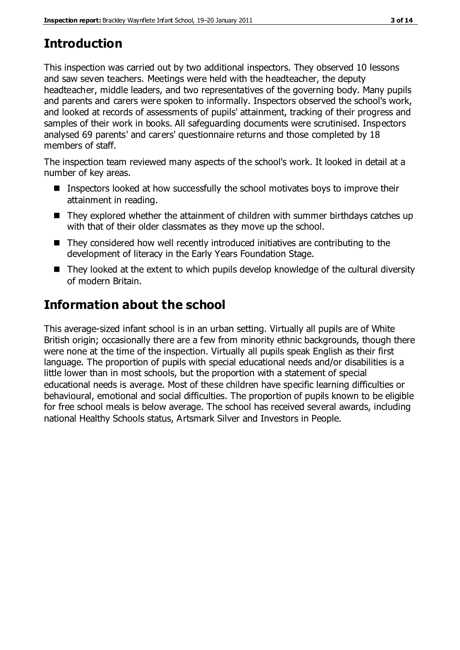# **Introduction**

This inspection was carried out by two additional inspectors. They observed 10 lessons and saw seven teachers. Meetings were held with the headteacher, the deputy headteacher, middle leaders, and two representatives of the governing body. Many pupils and parents and carers were spoken to informally. Inspectors observed the school's work, and looked at records of assessments of pupils' attainment, tracking of their progress and samples of their work in books. All safeguarding documents were scrutinised. Inspectors analysed 69 parents' and carers' questionnaire returns and those completed by 18 members of staff.

The inspection team reviewed many aspects of the school's work. It looked in detail at a number of key areas.

- Inspectors looked at how successfully the school motivates boys to improve their attainment in reading.
- They explored whether the attainment of children with summer birthdays catches up with that of their older classmates as they move up the school.
- They considered how well recently introduced initiatives are contributing to the development of literacy in the Early Years Foundation Stage.
- They looked at the extent to which pupils develop knowledge of the cultural diversity of modern Britain.

# **Information about the school**

This average-sized infant school is in an urban setting. Virtually all pupils are of White British origin; occasionally there are a few from minority ethnic backgrounds, though there were none at the time of the inspection. Virtually all pupils speak English as their first language. The proportion of pupils with special educational needs and/or disabilities is a little lower than in most schools, but the proportion with a statement of special educational needs is average. Most of these children have specific learning difficulties or behavioural, emotional and social difficulties. The proportion of pupils known to be eligible for free school meals is below average. The school has received several awards, including national Healthy Schools status, Artsmark Silver and Investors in People.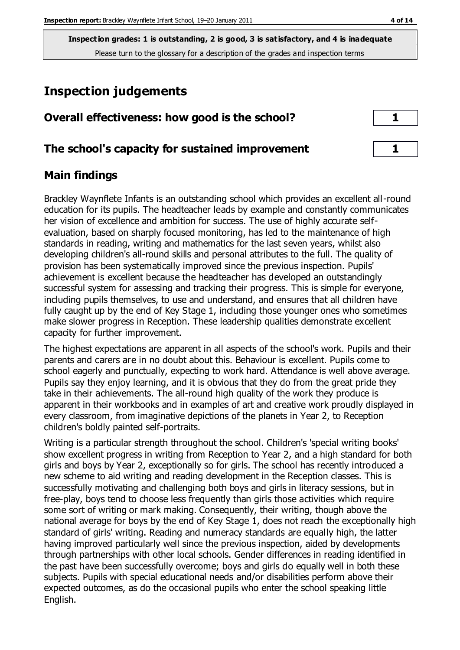# **Inspection judgements**

| Overall effectiveness: how good is the school?  |  |
|-------------------------------------------------|--|
|                                                 |  |
| The school's capacity for sustained improvement |  |

## **Main findings**

Brackley Waynflete Infants is an outstanding school which provides an excellent all-round education for its pupils. The headteacher leads by example and constantly communicates her vision of excellence and ambition for success. The use of highly accurate selfevaluation, based on sharply focused monitoring, has led to the maintenance of high standards in reading, writing and mathematics for the last seven years, whilst also developing children's all-round skills and personal attributes to the full. The quality of provision has been systematically improved since the previous inspection. Pupils' achievement is excellent because the headteacher has developed an outstandingly successful system for assessing and tracking their progress. This is simple for everyone, including pupils themselves, to use and understand, and ensures that all children have fully caught up by the end of Key Stage 1, including those younger ones who sometimes make slower progress in Reception. These leadership qualities demonstrate excellent capacity for further improvement.

The highest expectations are apparent in all aspects of the school's work. Pupils and their parents and carers are in no doubt about this. Behaviour is excellent. Pupils come to school eagerly and punctually, expecting to work hard. Attendance is well above average. Pupils say they enjoy learning, and it is obvious that they do from the great pride they take in their achievements. The all-round high quality of the work they produce is apparent in their workbooks and in examples of art and creative work proudly displayed in every classroom, from imaginative depictions of the planets in Year 2, to Reception children's boldly painted self-portraits.

Writing is a particular strength throughout the school. Children's 'special writing books' show excellent progress in writing from Reception to Year 2, and a high standard for both girls and boys by Year 2, exceptionally so for girls. The school has recently introduced a new scheme to aid writing and reading development in the Reception classes. This is successfully motivating and challenging both boys and girls in literacy sessions, but in free-play, boys tend to choose less frequently than girls those activities which require some sort of writing or mark making. Consequently, their writing, though above the national average for boys by the end of Key Stage 1, does not reach the exceptionally high standard of girls' writing. Reading and numeracy standards are equally high, the latter having improved particularly well since the previous inspection, aided by developments through partnerships with other local schools. Gender differences in reading identified in the past have been successfully overcome; boys and girls do equally well in both these subjects. Pupils with special educational needs and/or disabilities perform above their expected outcomes, as do the occasional pupils who enter the school speaking little English.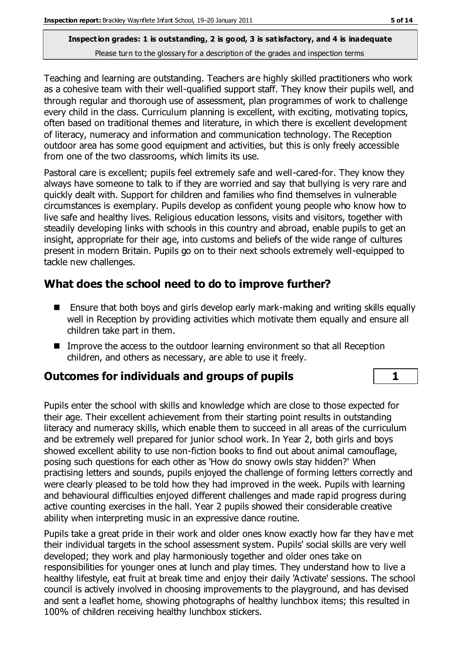Teaching and learning are outstanding. Teachers are highly skilled practitioners who work as a cohesive team with their well-qualified support staff. They know their pupils well, and through regular and thorough use of assessment, plan programmes of work to challenge every child in the class. Curriculum planning is excellent, with exciting, motivating topics, often based on traditional themes and literature, in which there is excellent development of literacy, numeracy and information and communication technology. The Reception outdoor area has some good equipment and activities, but this is only freely accessible from one of the two classrooms, which limits its use.

Pastoral care is excellent; pupils feel extremely safe and well-cared-for. They know they always have someone to talk to if they are worried and say that bullying is very rare and quickly dealt with. Support for children and families who find themselves in vulnerable circumstances is exemplary. Pupils develop as confident young people who know how to live safe and healthy lives. Religious education lessons, visits and visitors, together with steadily developing links with schools in this country and abroad, enable pupils to get an insight, appropriate for their age, into customs and beliefs of the wide range of cultures present in modern Britain. Pupils go on to their next schools extremely well-equipped to tackle new challenges.

## **What does the school need to do to improve further?**

- Ensure that both boys and girls develop early mark-making and writing skills equally well in Reception by providing activities which motivate them equally and ensure all children take part in them.
- Improve the access to the outdoor learning environment so that all Reception children, and others as necessary, are able to use it freely.

## **Outcomes for individuals and groups of pupils 1**

Pupils enter the school with skills and knowledge which are close to those expected for their age. Their excellent achievement from their starting point results in outstanding literacy and numeracy skills, which enable them to succeed in all areas of the curriculum and be extremely well prepared for junior school work. In Year 2, both girls and boys showed excellent ability to use non-fiction books to find out about animal camouflage, posing such questions for each other as 'How do snowy owls stay hidden?' When practising letters and sounds, pupils enjoyed the challenge of forming letters correctly and were clearly pleased to be told how they had improved in the week. Pupils with learning and behavioural difficulties enjoyed different challenges and made rapid progress during active counting exercises in the hall. Year 2 pupils showed their considerable creative ability when interpreting music in an expressive dance routine.

Pupils take a great pride in their work and older ones know exactly how far they hav e met their individual targets in the school assessment system. Pupils' social skills are very well developed; they work and play harmoniously together and older ones take on responsibilities for younger ones at lunch and play times. They understand how to live a healthy lifestyle, eat fruit at break time and enjoy their daily 'Activate' sessions. The school council is actively involved in choosing improvements to the playground, and has devised and sent a leaflet home, showing photographs of healthy lunchbox items; this resulted in 100% of children receiving healthy lunchbox stickers.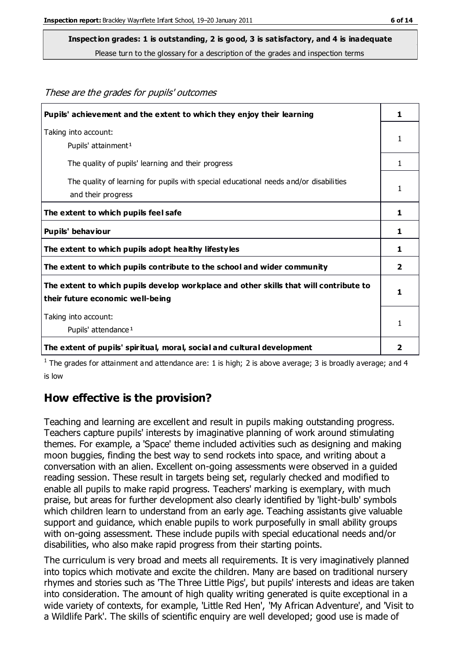These are the grades for pupils' outcomes

#### **Inspection grades: 1 is outstanding, 2 is good, 3 is satisfactory, and 4 is inadequate**

Please turn to the glossary for a description of the grades and inspection terms

| Pupils' achievement and the extent to which they enjoy their learning                                                     | 1 |
|---------------------------------------------------------------------------------------------------------------------------|---|
| Taking into account:<br>Pupils' attainment <sup>1</sup>                                                                   | 1 |
| The quality of pupils' learning and their progress                                                                        | 1 |
| The quality of learning for pupils with special educational needs and/or disabilities<br>and their progress               | 1 |
| The extent to which pupils feel safe                                                                                      | 1 |
| Pupils' behaviour                                                                                                         | 1 |
| The extent to which pupils adopt healthy lifestyles                                                                       | 1 |
| The extent to which pupils contribute to the school and wider community                                                   | 2 |
| The extent to which pupils develop workplace and other skills that will contribute to<br>their future economic well-being | 1 |
| Taking into account:<br>Pupils' attendance <sup>1</sup>                                                                   | 1 |
| The extent of pupils' spiritual, moral, social and cultural development                                                   | 2 |

<sup>1</sup> The grades for attainment and attendance are: 1 is high; 2 is above average; 3 is broadly average; and 4 is low

#### **How effective is the provision?**

Teaching and learning are excellent and result in pupils making outstanding progress. Teachers capture pupils' interests by imaginative planning of work around stimulating themes. For example, a 'Space' theme included activities such as designing and making moon buggies, finding the best way to send rockets into space, and writing about a conversation with an alien. Excellent on-going assessments were observed in a guided reading session. These result in targets being set, regularly checked and modified to enable all pupils to make rapid progress. Teachers' marking is exemplary, with much praise, but areas for further development also clearly identified by 'light-bulb' symbols which children learn to understand from an early age. Teaching assistants give valuable support and guidance, which enable pupils to work purposefully in small ability groups with on-going assessment. These include pupils with special educational needs and/or disabilities, who also make rapid progress from their starting points.

The curriculum is very broad and meets all requirements. It is very imaginatively planned into topics which motivate and excite the children. Many are based on traditional nursery rhymes and stories such as 'The Three Little Pigs', but pupils' interests and ideas are taken into consideration. The amount of high quality writing generated is quite exceptional in a wide variety of contexts, for example, 'Little Red Hen', 'My African Adventure', and 'Visit to a Wildlife Park'. The skills of scientific enquiry are well developed; good use is made of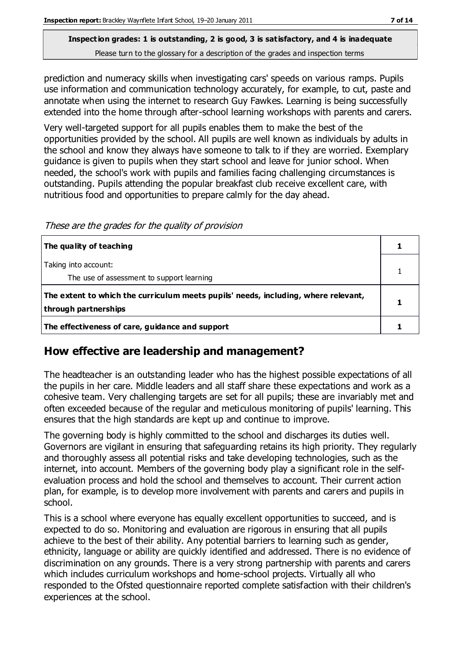prediction and numeracy skills when investigating cars' speeds on various ramps. Pupils use information and communication technology accurately, for example, to cut, paste and annotate when using the internet to research Guy Fawkes. Learning is being successfully extended into the home through after-school learning workshops with parents and carers.

Very well-targeted support for all pupils enables them to make the best of the opportunities provided by the school. All pupils are well known as individuals by adults in the school and know they always have someone to talk to if they are worried. Exemplary guidance is given to pupils when they start school and leave for junior school. When needed, the school's work with pupils and families facing challenging circumstances is outstanding. Pupils attending the popular breakfast club receive excellent care, with nutritious food and opportunities to prepare calmly for the day ahead.

These are the grades for the quality of provision

| The quality of teaching                                                                                    |  |
|------------------------------------------------------------------------------------------------------------|--|
| Taking into account:<br>The use of assessment to support learning                                          |  |
| The extent to which the curriculum meets pupils' needs, including, where relevant,<br>through partnerships |  |
| The effectiveness of care, guidance and support                                                            |  |

## **How effective are leadership and management?**

The headteacher is an outstanding leader who has the highest possible expectations of all the pupils in her care. Middle leaders and all staff share these expectations and work as a cohesive team. Very challenging targets are set for all pupils; these are invariably met and often exceeded because of the regular and meticulous monitoring of pupils' learning. This ensures that the high standards are kept up and continue to improve.

The governing body is highly committed to the school and discharges its duties well. Governors are vigilant in ensuring that safeguarding retains its high priority. They regularly and thoroughly assess all potential risks and take developing technologies, such as the internet, into account. Members of the governing body play a significant role in the selfevaluation process and hold the school and themselves to account. Their current action plan, for example, is to develop more involvement with parents and carers and pupils in school.

This is a school where everyone has equally excellent opportunities to succeed, and is expected to do so. Monitoring and evaluation are rigorous in ensuring that all pupils achieve to the best of their ability. Any potential barriers to learning such as gender, ethnicity, language or ability are quickly identified and addressed. There is no evidence of discrimination on any grounds. There is a very strong partnership with parents and carers which includes curriculum workshops and home-school projects. Virtually all who responded to the Ofsted questionnaire reported complete satisfaction with their children's experiences at the school.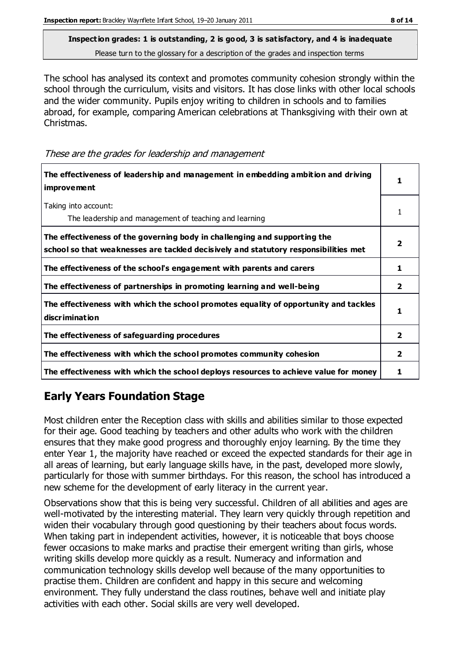The school has analysed its context and promotes community cohesion strongly within the school through the curriculum, visits and visitors. It has close links with other local schools and the wider community. Pupils enjoy writing to children in schools and to families abroad, for example, comparing American celebrations at Thanksgiving with their own at Christmas.

These are the grades for leadership and management

| The effectiveness of leadership and management in embedding ambition and driving<br><b>improvement</b>                                                           |                |
|------------------------------------------------------------------------------------------------------------------------------------------------------------------|----------------|
| Taking into account:<br>The leadership and management of teaching and learning                                                                                   |                |
| The effectiveness of the governing body in challenging and supporting the<br>school so that weaknesses are tackled decisively and statutory responsibilities met | 2              |
| The effectiveness of the school's engagement with parents and carers                                                                                             | 1              |
| The effectiveness of partnerships in promoting learning and well-being                                                                                           | 2              |
| The effectiveness with which the school promotes equality of opportunity and tackles<br><b>discrimination</b>                                                    | 1              |
| The effectiveness of safeguarding procedures                                                                                                                     | $\overline{2}$ |
| The effectiveness with which the school promotes community cohesion                                                                                              | 2              |
| The effectiveness with which the school deploys resources to achieve value for money                                                                             |                |

## **Early Years Foundation Stage**

Most children enter the Reception class with skills and abilities similar to those expected for their age. Good teaching by teachers and other adults who work with the children ensures that they make good progress and thoroughly enjoy learning. By the time they enter Year 1, the majority have reached or exceed the expected standards for their age in all areas of learning, but early language skills have, in the past, developed more slowly, particularly for those with summer birthdays. For this reason, the school has introduced a new scheme for the development of early literacy in the current year.

Observations show that this is being very successful. Children of all abilities and ages are well-motivated by the interesting material. They learn very quickly through repetition and widen their vocabulary through good questioning by their teachers about focus words. When taking part in independent activities, however, it is noticeable that boys choose fewer occasions to make marks and practise their emergent writing than girls, whose writing skills develop more quickly as a result. Numeracy and information and communication technology skills develop well because of the many opportunities to practise them. Children are confident and happy in this secure and welcoming environment. They fully understand the class routines, behave well and initiate play activities with each other. Social skills are very well developed.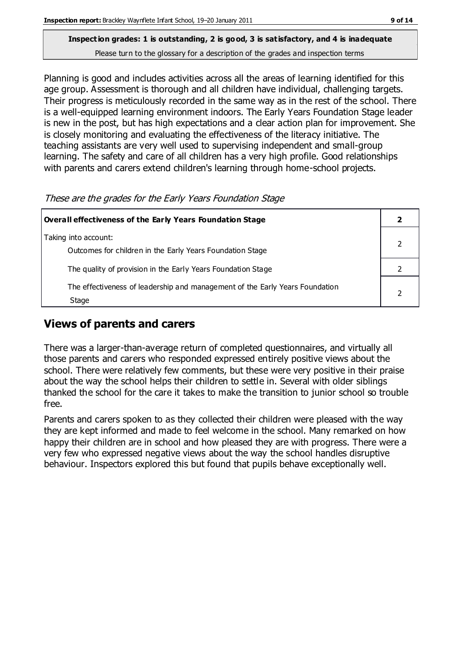Planning is good and includes activities across all the areas of learning identified for this age group. Assessment is thorough and all children have individual, challenging targets. Their progress is meticulously recorded in the same way as in the rest of the school. There is a well-equipped learning environment indoors. The Early Years Foundation Stage leader is new in the post, but has high expectations and a clear action plan for improvement. She is closely monitoring and evaluating the effectiveness of the literacy initiative. The teaching assistants are very well used to supervising independent and small-group learning. The safety and care of all children has a very high profile. Good relationships with parents and carers extend children's learning through home-school projects.

| These are the grades for the Early Tears Foundation Stage                             |  |
|---------------------------------------------------------------------------------------|--|
| Overall effectiveness of the Early Years Foundation Stage                             |  |
| Taking into account:<br>Outcomes for children in the Early Years Foundation Stage     |  |
| The quality of provision in the Early Years Foundation Stage                          |  |
| The effectiveness of leadership and management of the Early Years Foundation<br>Stage |  |

the grades for the Early Years Foundation Chase

## **Views of parents and carers**

There was a larger-than-average return of completed questionnaires, and virtually all those parents and carers who responded expressed entirely positive views about the school. There were relatively few comments, but these were very positive in their praise about the way the school helps their children to settle in. Several with older siblings thanked the school for the care it takes to make the transition to junior school so trouble free.

Parents and carers spoken to as they collected their children were pleased with the way they are kept informed and made to feel welcome in the school. Many remarked on how happy their children are in school and how pleased they are with progress. There were a very few who expressed negative views about the way the school handles disruptive behaviour. Inspectors explored this but found that pupils behave exceptionally well.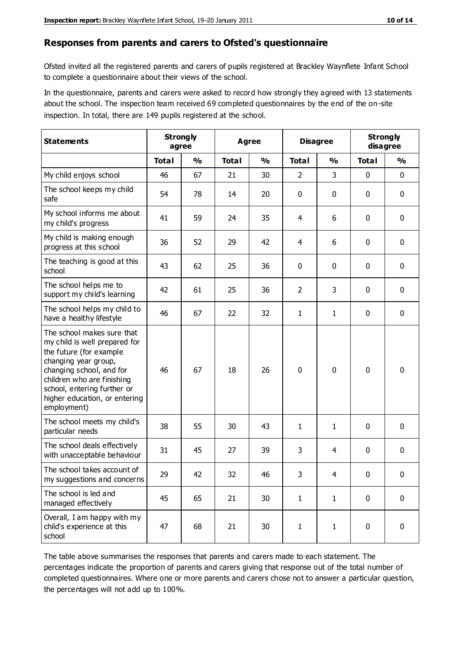#### **Responses from parents and carers to Ofsted's questionnaire**

Ofsted invited all the registered parents and carers of pupils registered at Brackley Waynflete Infant School to complete a questionnaire about their views of the school.

In the questionnaire, parents and carers were asked to record how strongly they agreed with 13 statements about the school. The inspection team received 69 completed questionnaires by the end of the on-site inspection. In total, there are 149 pupils registered at the school.

| <b>Statements</b>                                                                                                                                                                                                                                       |              | <b>Strongly</b><br><b>Agree</b><br>agree |              | <b>Disagree</b> |                |               | <b>Strongly</b><br>disagree |               |
|---------------------------------------------------------------------------------------------------------------------------------------------------------------------------------------------------------------------------------------------------------|--------------|------------------------------------------|--------------|-----------------|----------------|---------------|-----------------------------|---------------|
|                                                                                                                                                                                                                                                         | <b>Total</b> | $\frac{0}{0}$                            | <b>Total</b> | $\frac{0}{0}$   | <b>Total</b>   | $\frac{0}{0}$ | <b>Total</b>                | $\frac{0}{0}$ |
| My child enjoys school                                                                                                                                                                                                                                  | 46           | 67                                       | 21           | 30              | 2              | 3             | $\mathbf 0$                 | $\mathbf 0$   |
| The school keeps my child<br>safe                                                                                                                                                                                                                       | 54           | 78                                       | 14           | 20              | 0              | 0             | $\mathbf 0$                 | $\mathbf 0$   |
| My school informs me about<br>my child's progress                                                                                                                                                                                                       | 41           | 59                                       | 24           | 35              | 4              | 6             | $\mathbf 0$                 | $\mathbf 0$   |
| My child is making enough<br>progress at this school                                                                                                                                                                                                    | 36           | 52                                       | 29           | 42              | 4              | 6             | 0                           | $\mathbf 0$   |
| The teaching is good at this<br>school                                                                                                                                                                                                                  | 43           | 62                                       | 25           | 36              | 0              | 0             | $\mathbf 0$                 | $\mathbf 0$   |
| The school helps me to<br>support my child's learning                                                                                                                                                                                                   | 42           | 61                                       | 25           | 36              | $\overline{2}$ | 3             | $\mathbf 0$                 | $\mathbf 0$   |
| The school helps my child to<br>have a healthy lifestyle                                                                                                                                                                                                | 46           | 67                                       | 22           | 32              | $\mathbf{1}$   | $\mathbf{1}$  | $\mathbf 0$                 | $\mathbf 0$   |
| The school makes sure that<br>my child is well prepared for<br>the future (for example<br>changing year group,<br>changing school, and for<br>children who are finishing<br>school, entering further or<br>higher education, or entering<br>employment) | 46           | 67                                       | 18           | 26              | $\mathbf 0$    | $\mathbf{0}$  | $\mathbf 0$                 | $\mathbf 0$   |
| The school meets my child's<br>particular needs                                                                                                                                                                                                         | 38           | 55                                       | 30           | 43              | 1              | $\mathbf{1}$  | $\mathbf 0$                 | $\mathbf 0$   |
| The school deals effectively<br>with unacceptable behaviour                                                                                                                                                                                             | 31           | 45                                       | 27           | 39              | 3              | 4             | $\mathbf 0$                 | 0             |
| The school takes account of<br>my suggestions and concerns                                                                                                                                                                                              | 29           | 42                                       | 32           | 46              | 3              | 4             | 0                           | 0             |
| The school is led and<br>managed effectively                                                                                                                                                                                                            | 45           | 65                                       | 21           | 30              | $\mathbf{1}$   | $\mathbf{1}$  | $\mathbf 0$                 | $\mathbf 0$   |
| Overall, I am happy with my<br>child's experience at this<br>school                                                                                                                                                                                     | 47           | 68                                       | 21           | 30              | $\mathbf 1$    | $\mathbf{1}$  | $\mathbf 0$                 | $\mathbf 0$   |

The table above summarises the responses that parents and carers made to each statement. The percentages indicate the proportion of parents and carers giving that response out of the total number of completed questionnaires. Where one or more parents and carers chose not to answer a particular question, the percentages will not add up to 100%.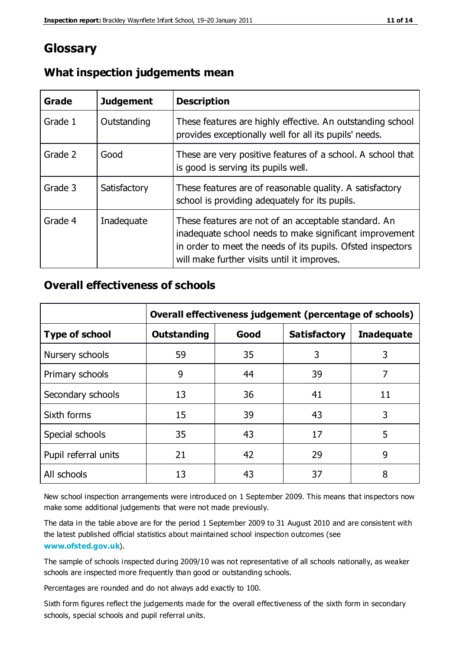## **Glossary**

| Grade   | <b>Judgement</b> | <b>Description</b>                                                                                                                                                                                                            |
|---------|------------------|-------------------------------------------------------------------------------------------------------------------------------------------------------------------------------------------------------------------------------|
| Grade 1 | Outstanding      | These features are highly effective. An outstanding school<br>provides exceptionally well for all its pupils' needs.                                                                                                          |
| Grade 2 | Good             | These are very positive features of a school. A school that<br>is good is serving its pupils well.                                                                                                                            |
| Grade 3 | Satisfactory     | These features are of reasonable quality. A satisfactory<br>school is providing adequately for its pupils.                                                                                                                    |
| Grade 4 | Inadequate       | These features are not of an acceptable standard. An<br>inadequate school needs to make significant improvement<br>in order to meet the needs of its pupils. Ofsted inspectors<br>will make further visits until it improves. |

## **What inspection judgements mean**

## **Overall effectiveness of schools**

|                       | Overall effectiveness judgement (percentage of schools) |      |                     |                   |
|-----------------------|---------------------------------------------------------|------|---------------------|-------------------|
| <b>Type of school</b> | <b>Outstanding</b>                                      | Good | <b>Satisfactory</b> | <b>Inadequate</b> |
| Nursery schools       | 59                                                      | 35   | 3                   | 3                 |
| Primary schools       | 9                                                       | 44   | 39                  | 7                 |
| Secondary schools     | 13                                                      | 36   | 41                  | 11                |
| Sixth forms           | 15                                                      | 39   | 43                  | 3                 |
| Special schools       | 35                                                      | 43   | 17                  | 5                 |
| Pupil referral units  | 21                                                      | 42   | 29                  | 9                 |
| All schools           | 13                                                      | 43   | 37                  | 8                 |

New school inspection arrangements were introduced on 1 September 2009. This means that inspectors now make some additional judgements that were not made previously.

The data in the table above are for the period 1 September 2009 to 31 August 2010 and are consistent with the latest published official statistics about maintained school inspection outcomes (see **[www.ofsted.gov.uk](http://www.ofsted.gov.uk/)**).

The sample of schools inspected during 2009/10 was not representative of all schools nationally, as weaker schools are inspected more frequently than good or outstanding schools.

Percentages are rounded and do not always add exactly to 100.

Sixth form figures reflect the judgements made for the overall effectiveness of the sixth form in secondary schools, special schools and pupil referral units.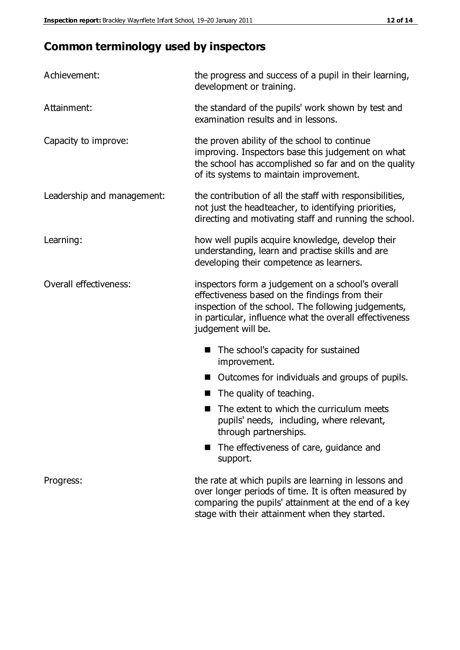# **Common terminology used by inspectors**

| Achievement:               | the progress and success of a pupil in their learning,<br>development or training.                                                                                                                                                          |
|----------------------------|---------------------------------------------------------------------------------------------------------------------------------------------------------------------------------------------------------------------------------------------|
| Attainment:                | the standard of the pupils' work shown by test and<br>examination results and in lessons.                                                                                                                                                   |
| Capacity to improve:       | the proven ability of the school to continue<br>improving. Inspectors base this judgement on what<br>the school has accomplished so far and on the quality<br>of its systems to maintain improvement.                                       |
| Leadership and management: | the contribution of all the staff with responsibilities,<br>not just the headteacher, to identifying priorities,<br>directing and motivating staff and running the school.                                                                  |
| Learning:                  | how well pupils acquire knowledge, develop their<br>understanding, learn and practise skills and are<br>developing their competence as learners.                                                                                            |
| Overall effectiveness:     | inspectors form a judgement on a school's overall<br>effectiveness based on the findings from their<br>inspection of the school. The following judgements,<br>in particular, influence what the overall effectiveness<br>judgement will be. |
|                            | The school's capacity for sustained<br>improvement.                                                                                                                                                                                         |
|                            | Outcomes for individuals and groups of pupils.                                                                                                                                                                                              |
|                            | The quality of teaching.                                                                                                                                                                                                                    |
|                            | The extent to which the curriculum meets<br>pupils' needs, including, where relevant,<br>through partnerships.                                                                                                                              |
|                            | The effectiveness of care, guidance and<br>support.                                                                                                                                                                                         |
| Progress:                  | the rate at which pupils are learning in lessons and<br>over longer periods of time. It is often measured by<br>comparing the pupils' attainment at the end of a key                                                                        |

stage with their attainment when they started.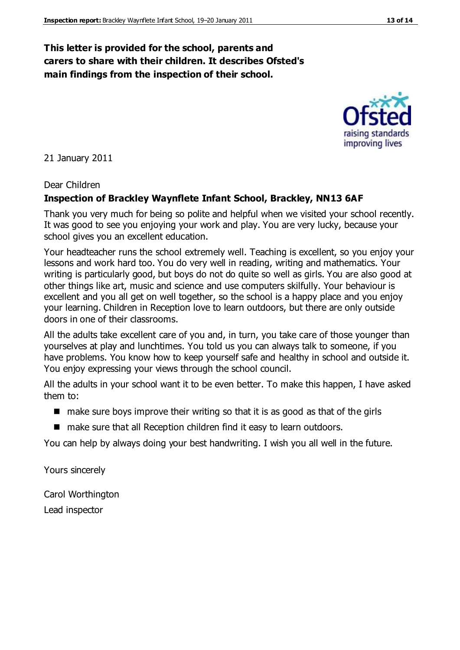## **This letter is provided for the school, parents and carers to share with their children. It describes Ofsted's main findings from the inspection of their school.**

21 January 2011

#### Dear Children

#### **Inspection of Brackley Waynflete Infant School, Brackley, NN13 6AF**

Thank you very much for being so polite and helpful when we visited your school recently. It was good to see you enjoying your work and play. You are very lucky, because your school gives you an excellent education.

Your headteacher runs the school extremely well. Teaching is excellent, so you enjoy your lessons and work hard too. You do very well in reading, writing and mathematics. Your writing is particularly good, but boys do not do quite so well as girls. You are also good at other things like art, music and science and use computers skilfully. Your behaviour is excellent and you all get on well together, so the school is a happy place and you enjoy your learning. Children in Reception love to learn outdoors, but there are only outside doors in one of their classrooms.

All the adults take excellent care of you and, in turn, you take care of those younger than yourselves at play and lunchtimes. You told us you can always talk to someone, if you have problems. You know how to keep yourself safe and healthy in school and outside it. You enjoy expressing your views through the school council.

All the adults in your school want it to be even better. To make this happen, I have asked them to:

- $\blacksquare$  make sure boys improve their writing so that it is as good as that of the girls
- make sure that all Reception children find it easy to learn outdoors.

You can help by always doing your best handwriting. I wish you all well in the future.

Yours sincerely

Carol Worthington Lead inspector